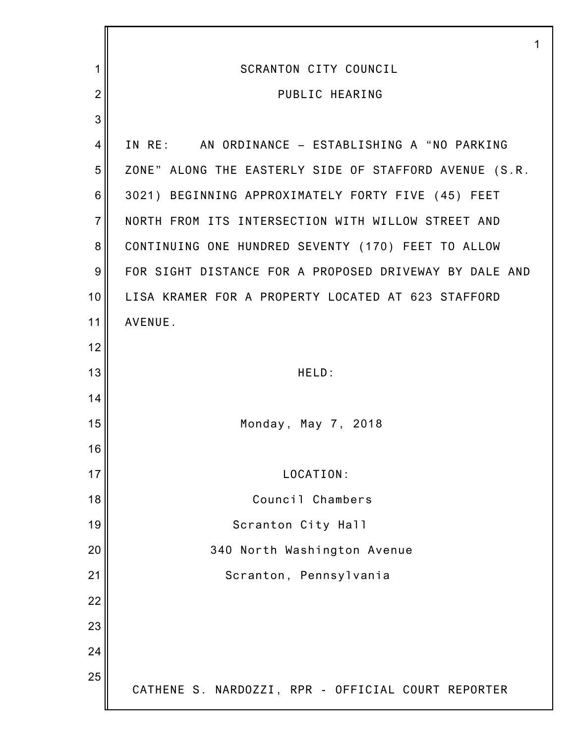|                  | 1                                                      |
|------------------|--------------------------------------------------------|
| 1                | <b>SCRANTON CITY COUNCIL</b>                           |
| $\overline{2}$   | PUBLIC HEARING                                         |
| 3                |                                                        |
| 4                | IN RE: AN ORDINANCE - ESTABLISHING A "NO PARKING       |
| 5                | ZONE" ALONG THE EASTERLY SIDE OF STAFFORD AVENUE (S.R. |
| 6                | 3021) BEGINNING APPROXIMATELY FORTY FIVE (45) FEET     |
| $\overline{7}$   | NORTH FROM ITS INTERSECTION WITH WILLOW STREET AND     |
| $\bf 8$          | CONTINUING ONE HUNDRED SEVENTY (170) FEET TO ALLOW     |
| $\boldsymbol{9}$ | FOR SIGHT DISTANCE FOR A PROPOSED DRIVEWAY BY DALE AND |
| 10               | LISA KRAMER FOR A PROPERTY LOCATED AT 623 STAFFORD     |
| 11               | AVENUE.                                                |
| 12               |                                                        |
| 13               | HELD:                                                  |
| 14               |                                                        |
| 15               | Monday, May 7, 2018                                    |
| 16               |                                                        |
| 17               | LOCATION:                                              |
| 18               | Council Chambers                                       |
| 19               | Scranton City Hall                                     |
| 20               | 340 North Washington Avenue                            |
| 21               | Scranton, Pennsylvania                                 |
| 22               |                                                        |
| 23               |                                                        |
| 24               |                                                        |
| 25               | CATHENE S. NARDOZZI, RPR - OFFICIAL COURT REPORTER     |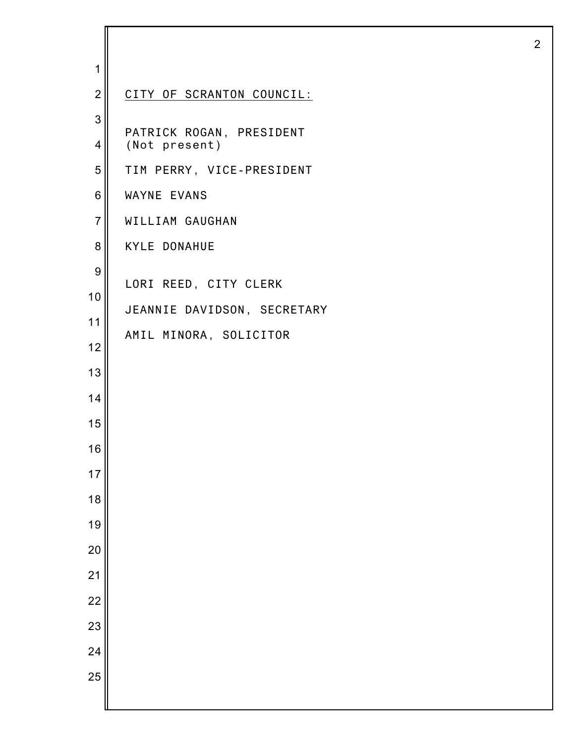| 1               |                                           |
|-----------------|-------------------------------------------|
| $\overline{2}$  | CITY OF SCRANTON COUNCIL:                 |
| $\mathbf{3}$    |                                           |
| $\overline{4}$  | PATRICK ROGAN, PRESIDENT<br>(Not present) |
| 5               | TIM PERRY, VICE-PRESIDENT                 |
| 6               | WAYNE EVANS                               |
| $\overline{7}$  | WILLIAM GAUGHAN                           |
| 8               | <b>KYLE DONAHUE</b>                       |
| 9               |                                           |
| 10              | LORI REED, CITY CLERK                     |
| 11              | JEANNIE DAVIDSON, SECRETARY               |
| 12              | AMIL MINORA, SOLICITOR                    |
| 13              |                                           |
| 14              |                                           |
| 15              |                                           |
| 16              |                                           |
| 17              |                                           |
| 18              |                                           |
| 19              |                                           |
| $\overline{20}$ |                                           |
| 21              |                                           |
| $\overline{22}$ |                                           |
| 23              |                                           |
| 24              |                                           |
| 25              |                                           |
|                 |                                           |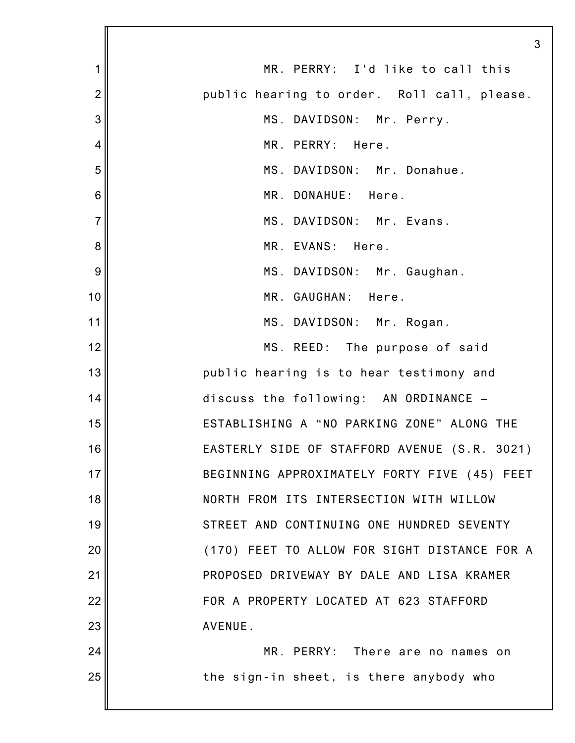|                | 3                                            |
|----------------|----------------------------------------------|
| 1              | MR. PERRY: I'd like to call this             |
| $\overline{2}$ | public hearing to order. Roll call, please.  |
| 3              | MS. DAVIDSON: Mr. Perry.                     |
| 4              | MR. PERRY: Here.                             |
| 5              | MS. DAVIDSON: Mr. Donahue.                   |
| 6              | MR. DONAHUE: Here.                           |
| $\overline{7}$ | MS. DAVIDSON: Mr. Evans.                     |
| 8              | MR. EVANS: Here.                             |
| 9              | MS. DAVIDSON: Mr. Gaughan.                   |
| 10             | MR. GAUGHAN: Here.                           |
| 11             | MS. DAVIDSON: Mr. Rogan.                     |
| 12             | MS. REED: The purpose of said                |
| 13             | public hearing is to hear testimony and      |
| 14             | discuss the following: AN ORDINANCE -        |
| 15             | ESTABLISHING A "NO PARKING ZONE" ALONG THE   |
| 16             | EASTERLY SIDE OF STAFFORD AVENUE (S.R. 3021) |
| 17             | BEGINNING APPROXIMATELY FORTY FIVE (45) FEET |
| 18             | NORTH FROM ITS INTERSECTION WITH WILLOW      |
| 19             | STREET AND CONTINUING ONE HUNDRED SEVENTY    |
| 20             | (170) FEET TO ALLOW FOR SIGHT DISTANCE FOR A |
| 21             | PROPOSED DRIVEWAY BY DALE AND LISA KRAMER    |
| 22             | FOR A PROPERTY LOCATED AT 623 STAFFORD       |
| 23             | AVENUE.                                      |
| 24             | MR. PERRY: There are no names on             |
| 25             | the sign-in sheet, is there anybody who      |
|                |                                              |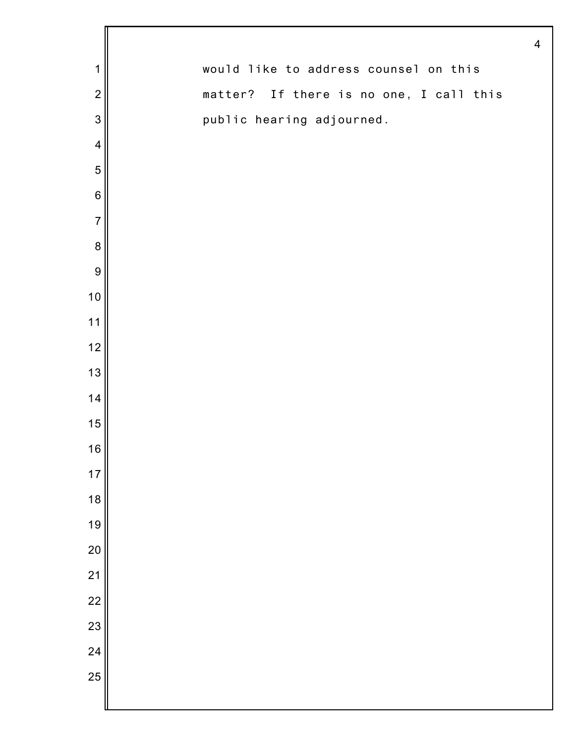|                  | $\overline{4}$                          |
|------------------|-----------------------------------------|
| $\mathbf 1$      | would like to address counsel on this   |
| $\overline{2}$   | matter? If there is no one, I call this |
| 3                | public hearing adjourned.               |
| $\overline{4}$   |                                         |
| 5                |                                         |
| $6\phantom{1}6$  |                                         |
| $\overline{7}$   |                                         |
| $\boldsymbol{8}$ |                                         |
| $\overline{9}$   |                                         |
| 10               |                                         |
| $11$             |                                         |
| $12$             |                                         |
| 13               |                                         |
| 14               |                                         |
| 15               |                                         |
| 16               |                                         |
| 17               |                                         |
| 18               |                                         |
| 19               |                                         |
| 20               |                                         |
| 21               |                                         |
| $\overline{22}$  |                                         |
| 23               |                                         |
| 24               |                                         |
| 25               |                                         |
|                  |                                         |